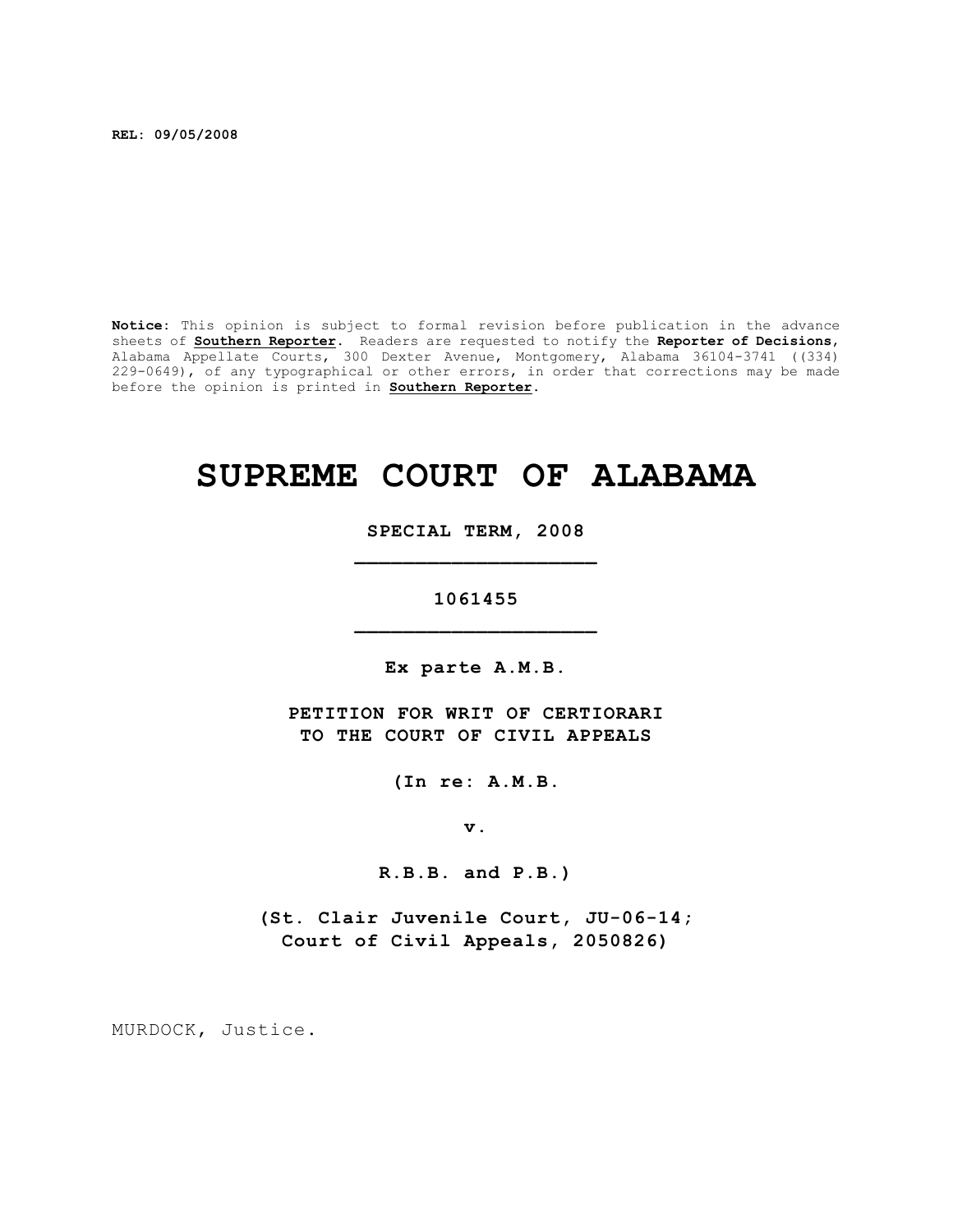**REL: 09/05/2008**

**Notice:** This opinion is subject to formal revision before publication in the advance sheets of **Southern Reporter**. Readers are requested to notify the **Reporter of Decisions**, Alabama Appellate Courts, 300 Dexter Avenue, Montgomery, Alabama 36104-3741 ((334) 229-0649), of any typographical or other errors, in order that corrections may be made before the opinion is printed in **Southern Reporter**.

# **SUPREME COURT OF ALABAMA**

**SPECIAL TERM, 2008 \_\_\_\_\_\_\_\_\_\_\_\_\_\_\_\_\_\_\_\_**

**1061455 \_\_\_\_\_\_\_\_\_\_\_\_\_\_\_\_\_\_\_\_**

**Ex parte A.M.B.**

**PETITION FOR WRIT OF CERTIORARI TO THE COURT OF CIVIL APPEALS**

**(In re: A.M.B.**

**v.**

**R.B.B. and P.B.)**

**(St. Clair Juvenile Court, JU-06-14; Court of Civil Appeals, 2050826)**

MURDOCK, Justice.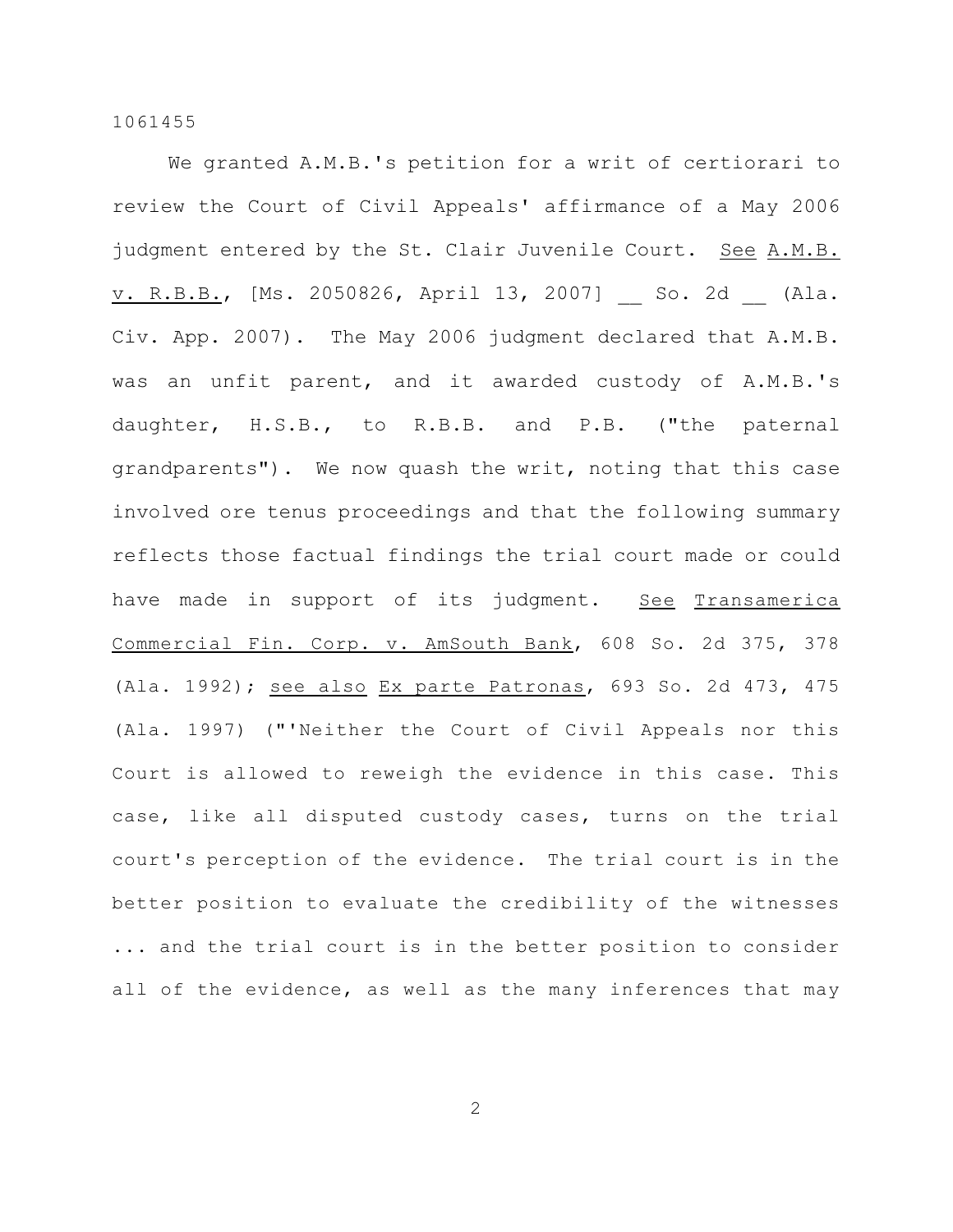We granted A.M.B.'s petition for a writ of certiorari to review the Court of Civil Appeals' affirmance of a May 2006 judgment entered by the St. Clair Juvenile Court. See A.M.B. v. R.B.B., [Ms. 2050826, April 13, 2007] \_\_ So. 2d (Ala. Civ. App. 2007). The May 2006 judgment declared that A.M.B. was an unfit parent, and it awarded custody of A.M.B.'s daughter, H.S.B., to R.B.B. and P.B. ("the paternal grandparents"). We now quash the writ, noting that this case involved ore tenus proceedings and that the following summary reflects those factual findings the trial court made or could have made in support of its judgment. See Transamerica Commercial Fin. Corp. v. AmSouth Bank, 608 So. 2d 375, 378 (Ala. 1992); see also Ex parte Patronas, 693 So. 2d 473, 475 (Ala. 1997) ("'Neither the Court of Civil Appeals nor this Court is allowed to reweigh the evidence in this case. This case, like all disputed custody cases, turns on the trial court's perception of the evidence. The trial court is in the better position to evaluate the credibility of the witnesses ... and the trial court is in the better position to consider all of the evidence, as well as the many inferences that may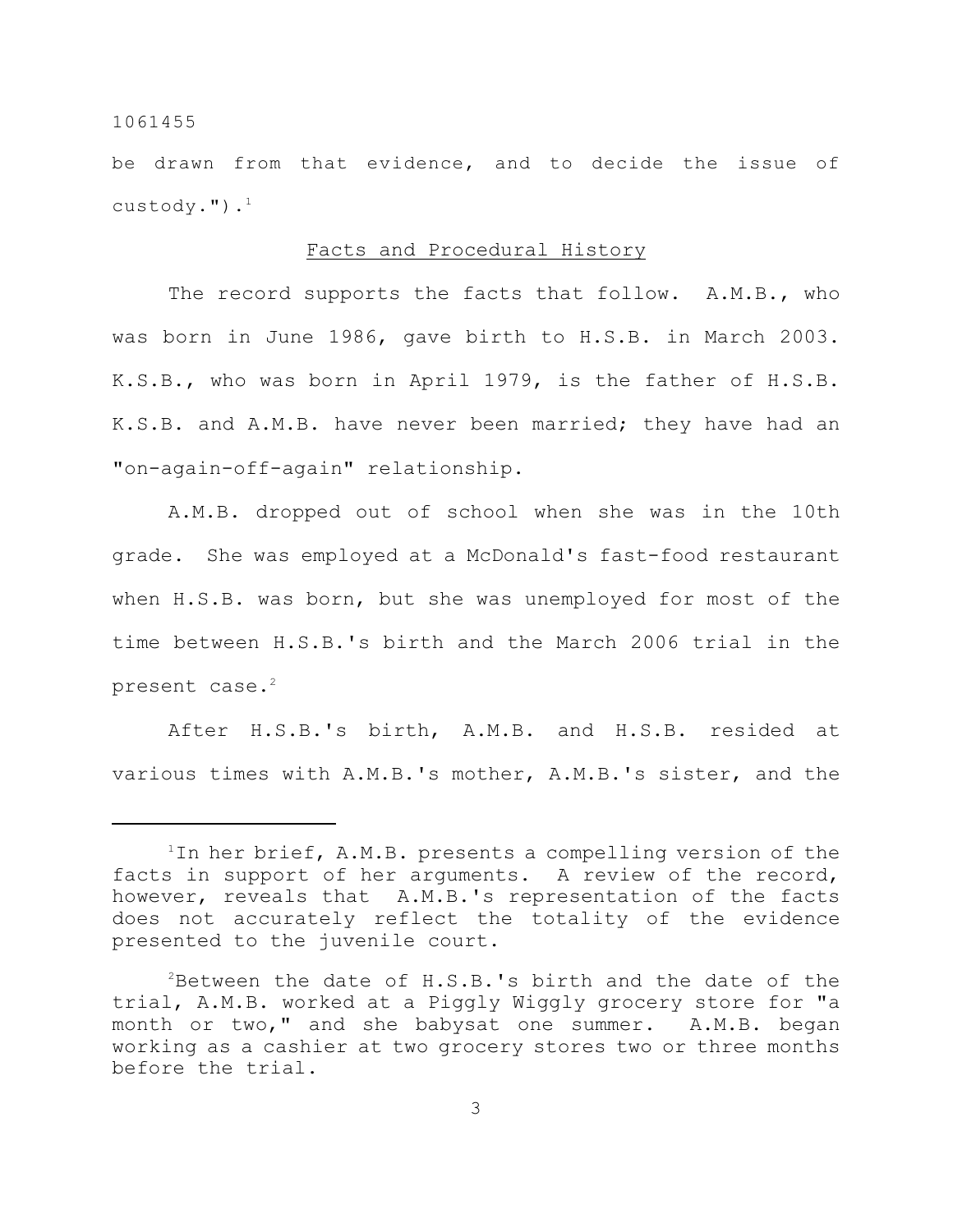be drawn from that evidence, and to decide the issue of custody."). $^1$ 

## Facts and Procedural History

The record supports the facts that follow. A.M.B., who was born in June 1986, gave birth to H.S.B. in March 2003. K.S.B., who was born in April 1979, is the father of H.S.B. K.S.B. and A.M.B. have never been married; they have had an "on-again-off-again" relationship.

A.M.B. dropped out of school when she was in the 10th grade. She was employed at a McDonald's fast-food restaurant when H.S.B. was born, but she was unemployed for most of the time between H.S.B.'s birth and the March 2006 trial in the present case. $^2$ 

After H.S.B.'s birth, A.M.B. and H.S.B. resided at various times with A.M.B.'s mother, A.M.B.'s sister, and the

<sup>&</sup>lt;sup>1</sup>In her brief, A.M.B. presents a compelling version of the facts in support of her arguments. A review of the record, however, reveals that A.M.B.'s representation of the facts does not accurately reflect the totality of the evidence presented to the juvenile court.

 $P^2$ Between the date of H.S.B.'s birth and the date of the trial, A.M.B. worked at a Piggly Wiggly grocery store for "a month or two," and she babysat one summer. A.M.B. began working as a cashier at two grocery stores two or three months before the trial.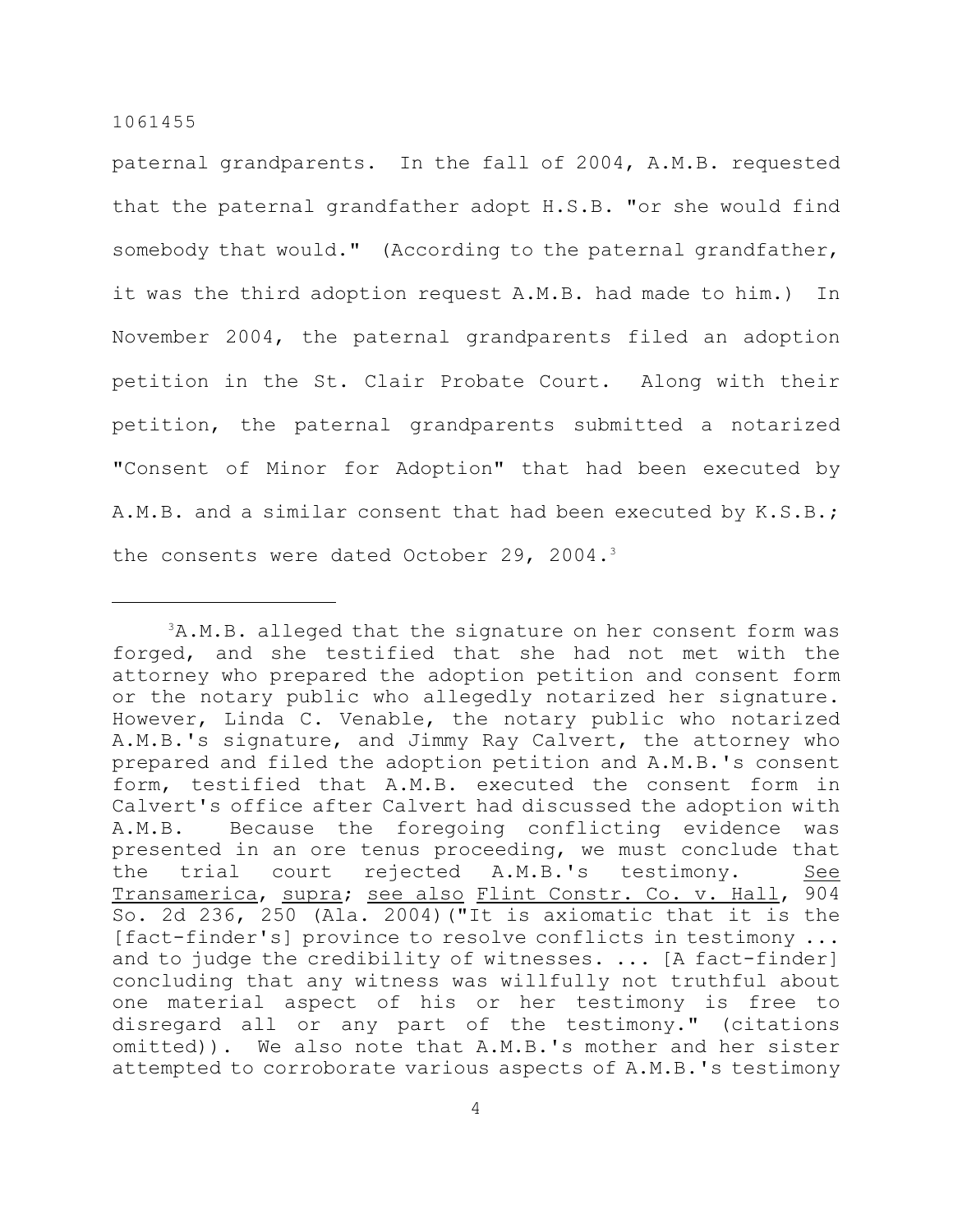paternal grandparents. In the fall of 2004, A.M.B. requested that the paternal grandfather adopt H.S.B. "or she would find somebody that would." (According to the paternal grandfather, it was the third adoption request A.M.B. had made to him.) In November 2004, the paternal grandparents filed an adoption petition in the St. Clair Probate Court. Along with their petition, the paternal grandparents submitted a notarized "Consent of Minor for Adoption" that had been executed by A.M.B. and a similar consent that had been executed by K.S.B.; the consents were dated October 29, 2004.3

 ${}^{3}$ A.M.B. alleged that the signature on her consent form was forged, and she testified that she had not met with the attorney who prepared the adoption petition and consent form or the notary public who allegedly notarized her signature. However, Linda C. Venable, the notary public who notarized A.M.B.'s signature, and Jimmy Ray Calvert, the attorney who prepared and filed the adoption petition and A.M.B.'s consent form, testified that A.M.B. executed the consent form in Calvert's office after Calvert had discussed the adoption with A.M.B. Because the foregoing conflicting evidence was presented in an ore tenus proceeding, we must conclude that the trial court rejected A.M.B.'s testimony. See Transamerica, supra; see also Flint Constr. Co. v. Hall, 904 So. 2d 236, 250 (Ala. 2004)("It is axiomatic that it is the [fact-finder's] province to resolve conflicts in testimony ... and to judge the credibility of witnesses. ... [A fact-finder] concluding that any witness was willfully not truthful about one material aspect of his or her testimony is free to disregard all or any part of the testimony." (citations omitted)). We also note that A.M.B.'s mother and her sister attempted to corroborate various aspects of A.M.B.'s testimony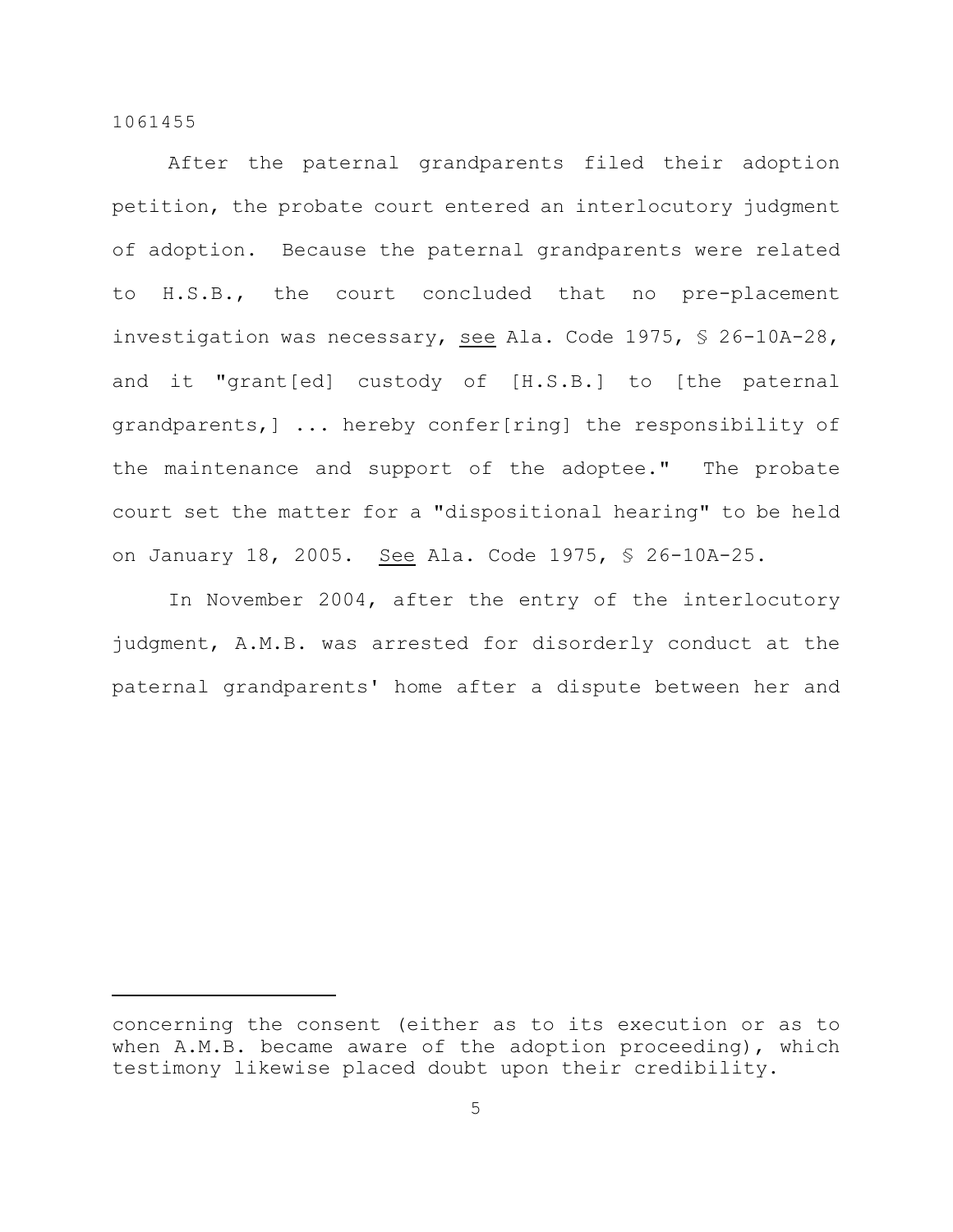After the paternal grandparents filed their adoption petition, the probate court entered an interlocutory judgment of adoption. Because the paternal grandparents were related to H.S.B., the court concluded that no pre-placement investigation was necessary, see Ala. Code 1975, § 26-10A-28, and it "grant[ed] custody of [H.S.B.] to [the paternal grandparents,] ... hereby confer[ring] the responsibility of the maintenance and support of the adoptee." The probate court set the matter for a "dispositional hearing" to be held on January 18, 2005. See Ala. Code 1975, § 26-10A-25.

In November 2004, after the entry of the interlocutory judgment, A.M.B. was arrested for disorderly conduct at the paternal grandparents' home after a dispute between her and

concerning the consent (either as to its execution or as to when A.M.B. became aware of the adoption proceeding), which testimony likewise placed doubt upon their credibility.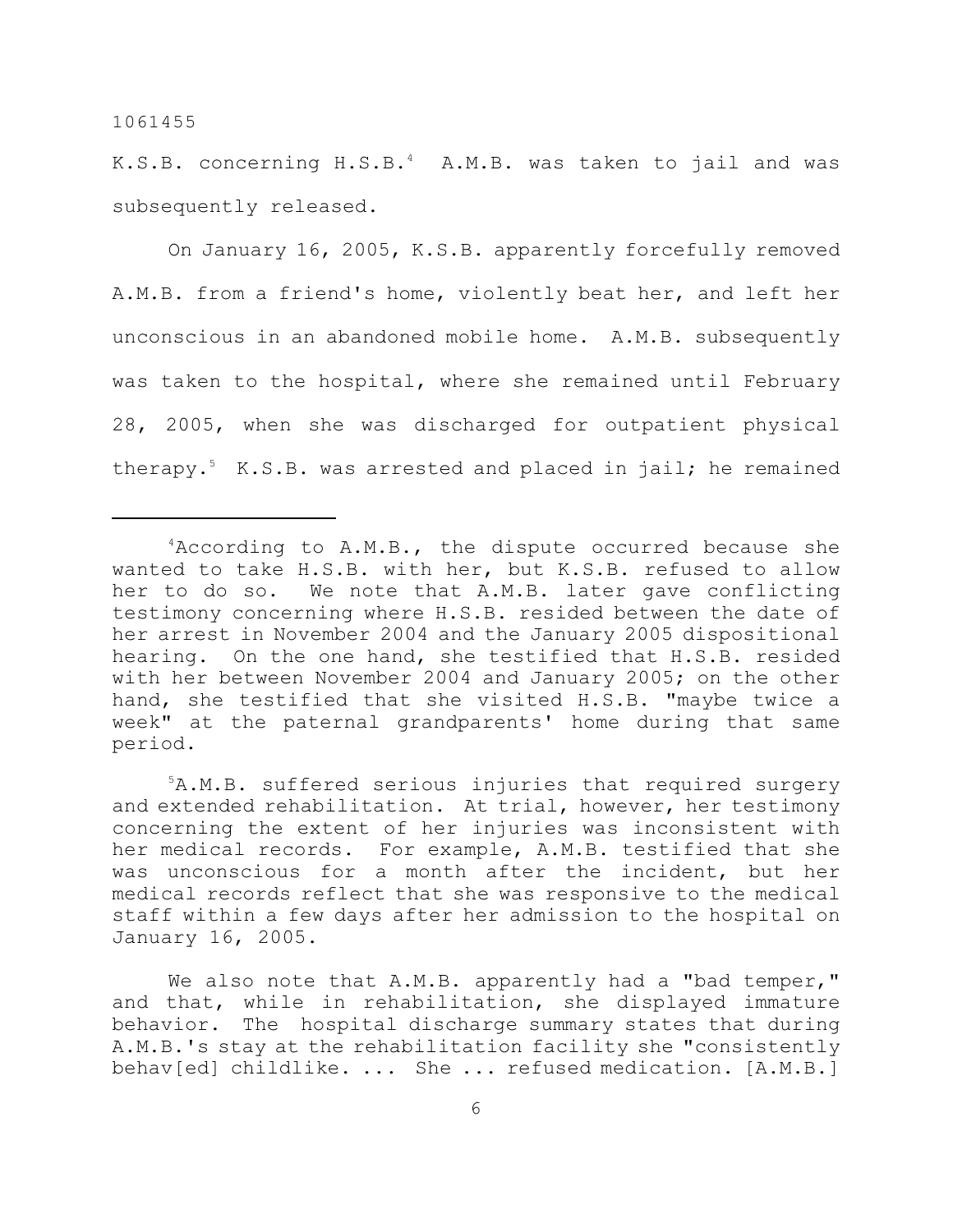K.S.B. concerning  $H.S.B.^4$  A.M.B. was taken to jail and was subsequently released.

On January 16, 2005, K.S.B. apparently forcefully removed A.M.B. from a friend's home, violently beat her, and left her unconscious in an abandoned mobile home. A.M.B. subsequently was taken to the hospital, where she remained until February 28, 2005, when she was discharged for outpatient physical therapy.<sup>5</sup> K.S.B. was arrested and placed in jail; he remained

<sup>5</sup>A.M.B. suffered serious injuries that required surgery and extended rehabilitation. At trial, however, her testimony concerning the extent of her injuries was inconsistent with her medical records. For example, A.M.B. testified that she was unconscious for a month after the incident, but her medical records reflect that she was responsive to the medical staff within a few days after her admission to the hospital on January 16, 2005.

We also note that A.M.B. apparently had a "bad temper," and that, while in rehabilitation, she displayed immature behavior. The hospital discharge summary states that during A.M.B.'s stay at the rehabilitation facility she "consistently behav[ed] childlike. ... She ... refused medication. [A.M.B.]

 $4$ According to A.M.B., the dispute occurred because she wanted to take H.S.B. with her, but K.S.B. refused to allow her to do so. We note that A.M.B. later gave conflicting testimony concerning where H.S.B. resided between the date of her arrest in November 2004 and the January 2005 dispositional hearing. On the one hand, she testified that H.S.B. resided with her between November 2004 and January 2005; on the other hand, she testified that she visited H.S.B. "maybe twice a week" at the paternal grandparents' home during that same period.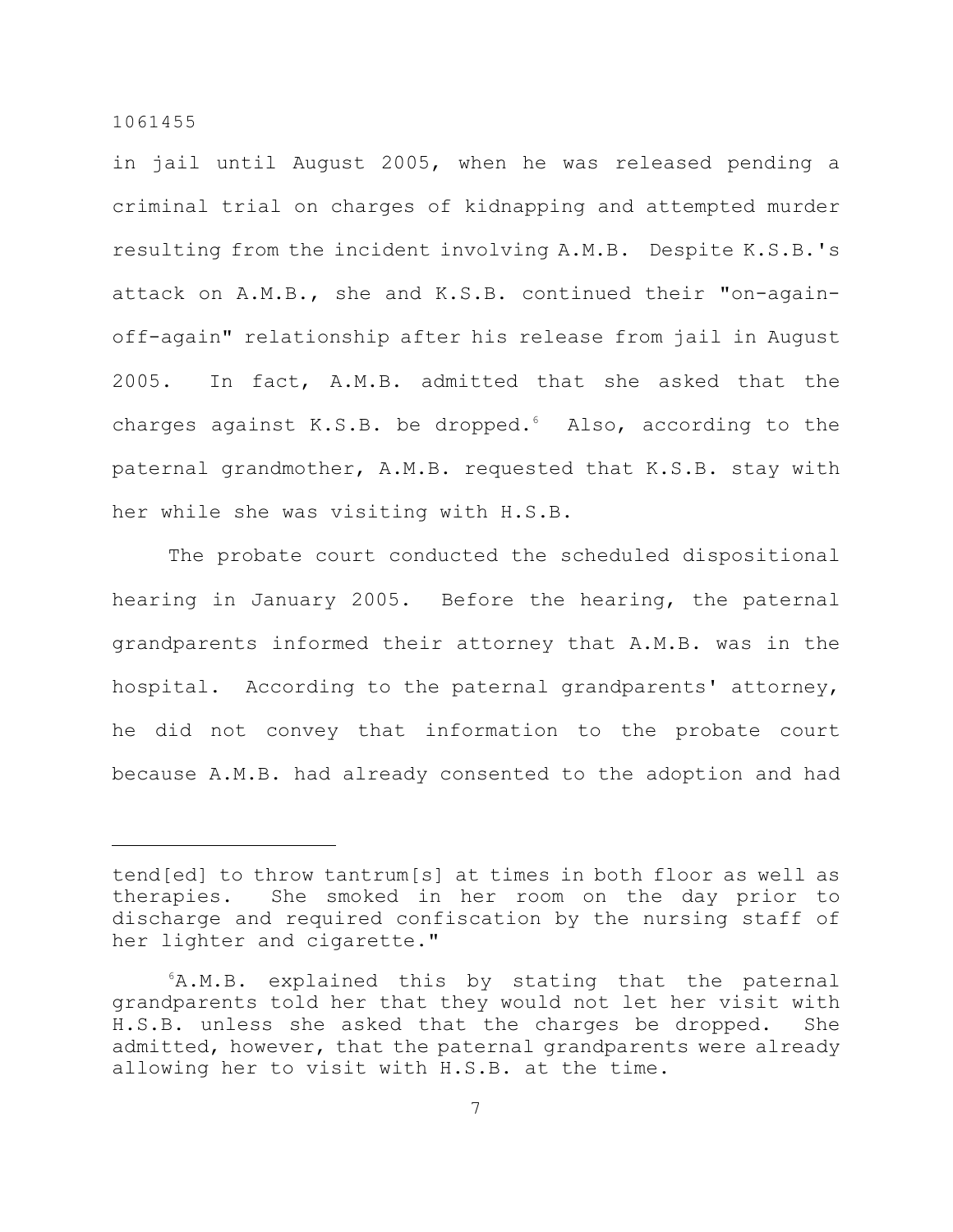in jail until August 2005, when he was released pending a criminal trial on charges of kidnapping and attempted murder resulting from the incident involving A.M.B. Despite K.S.B.'s attack on A.M.B., she and K.S.B. continued their "on-againoff-again" relationship after his release from jail in August 2005. In fact, A.M.B. admitted that she asked that the charges against  $K.S.B.$  be dropped. Also, according to the paternal grandmother, A.M.B. requested that K.S.B. stay with her while she was visiting with H.S.B.

The probate court conducted the scheduled dispositional hearing in January 2005. Before the hearing, the paternal grandparents informed their attorney that A.M.B. was in the hospital. According to the paternal grandparents' attorney, he did not convey that information to the probate court because A.M.B. had already consented to the adoption and had

tend[ed] to throw tantrum[s] at times in both floor as well as therapies. She smoked in her room on the day prior to discharge and required confiscation by the nursing staff of her lighter and cigarette."

 $6A.M.B.$  explained this by stating that the paternal grandparents told her that they would not let her visit with H.S.B. unless she asked that the charges be dropped. She admitted, however, that the paternal grandparents were already allowing her to visit with H.S.B. at the time.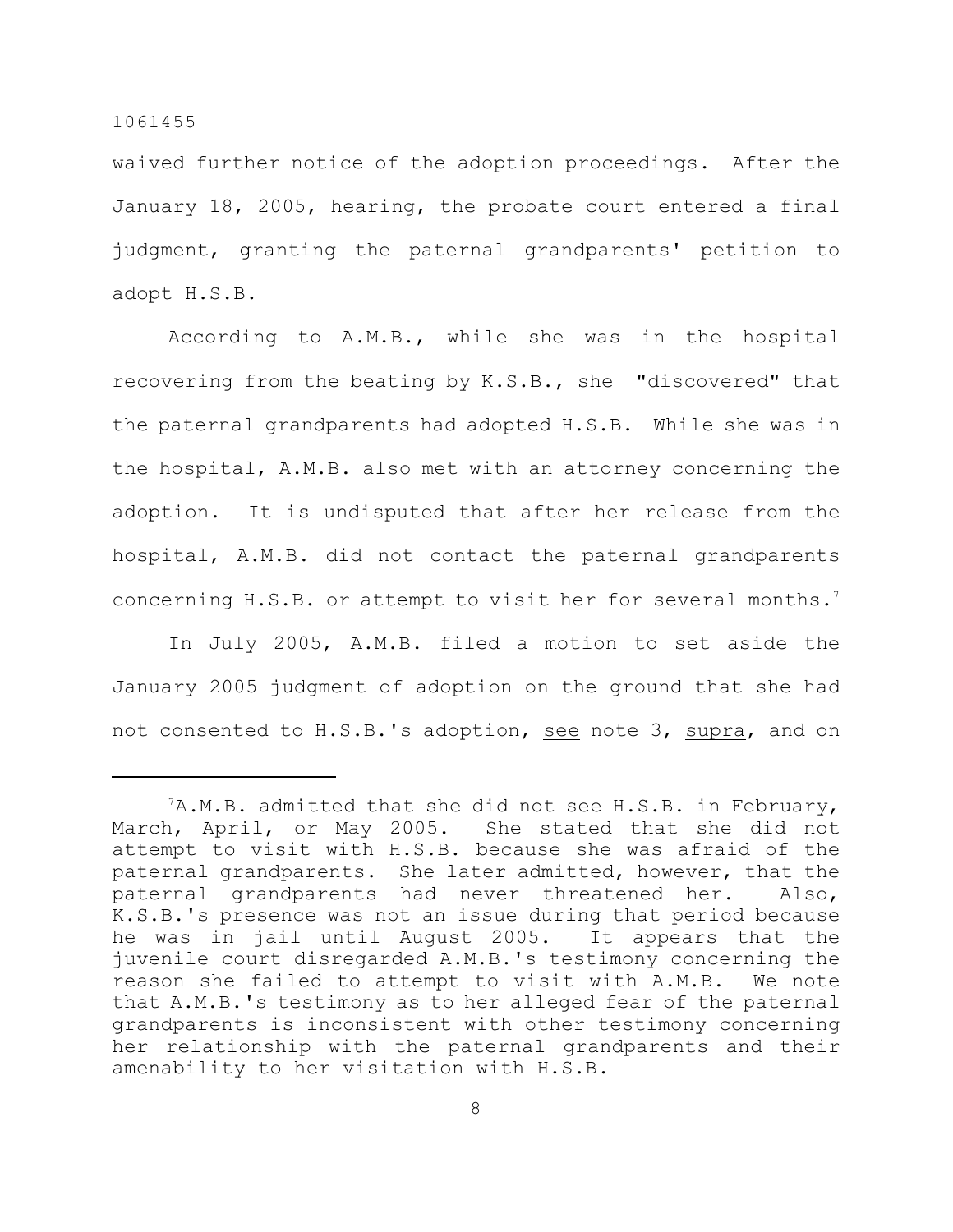waived further notice of the adoption proceedings. After the January 18, 2005, hearing, the probate court entered a final judgment, granting the paternal grandparents' petition to adopt H.S.B.

According to A.M.B., while she was in the hospital recovering from the beating by K.S.B., she "discovered" that the paternal grandparents had adopted H.S.B. While she was in the hospital, A.M.B. also met with an attorney concerning the adoption. It is undisputed that after her release from the hospital, A.M.B. did not contact the paternal grandparents concerning H.S.B. or attempt to visit her for several months.<sup>7</sup>

In July 2005, A.M.B. filed a motion to set aside the January 2005 judgment of adoption on the ground that she had not consented to H.S.B.'s adoption, see note 3, supra, and on

 $7A.M.B.$  admitted that she did not see H.S.B. in February, March, April, or May 2005. She stated that she did not attempt to visit with H.S.B. because she was afraid of the paternal grandparents. She later admitted, however, that the paternal grandparents had never threatened her. Also, K.S.B.'s presence was not an issue during that period because he was in jail until August 2005. It appears that the juvenile court disregarded A.M.B.'s testimony concerning the reason she failed to attempt to visit with A.M.B. We note that A.M.B.'s testimony as to her alleged fear of the paternal grandparents is inconsistent with other testimony concerning her relationship with the paternal grandparents and their amenability to her visitation with H.S.B.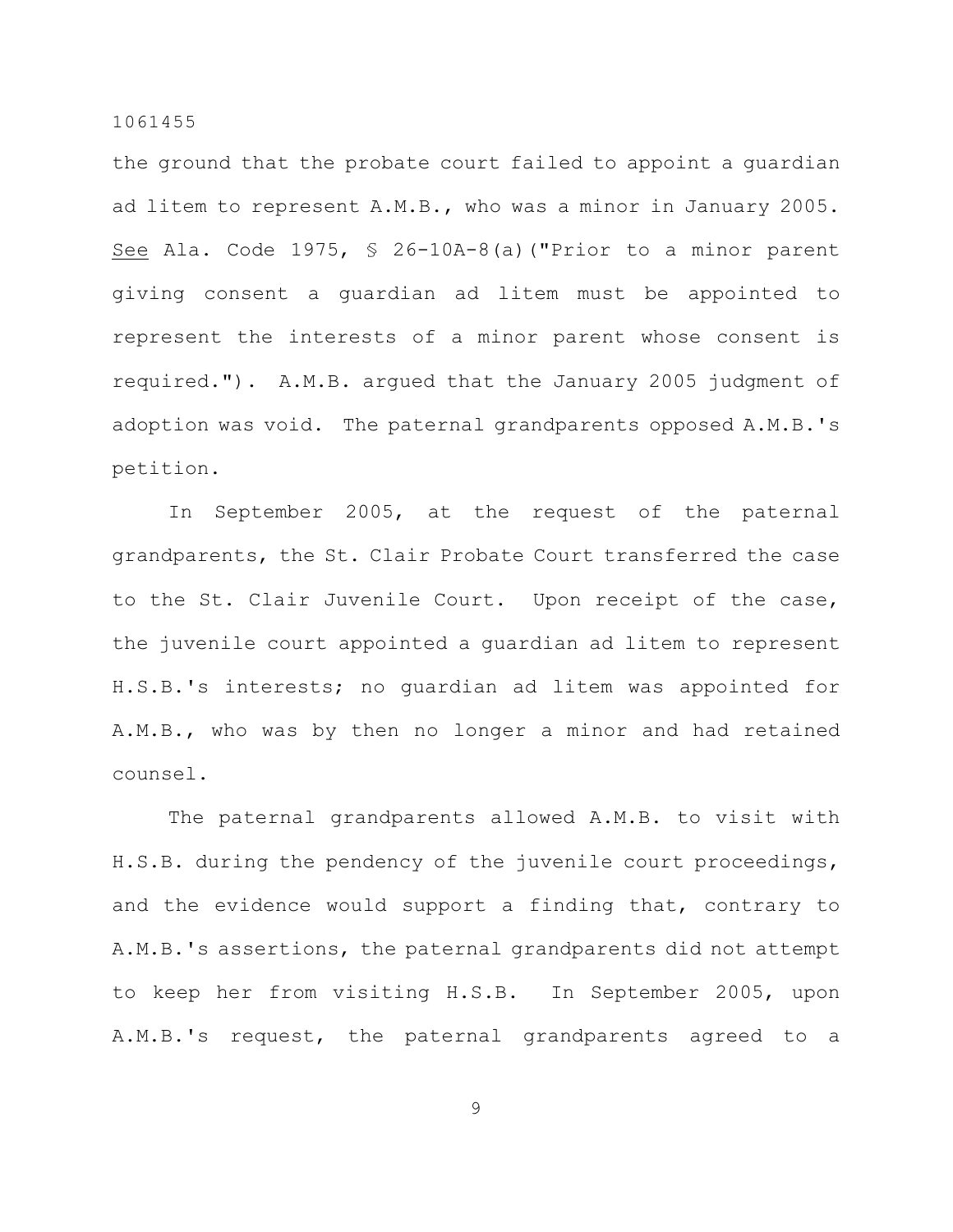the ground that the probate court failed to appoint a guardian ad litem to represent A.M.B., who was a minor in January 2005. See Ala. Code 1975, § 26-10A-8(a)("Prior to a minor parent giving consent a guardian ad litem must be appointed to represent the interests of a minor parent whose consent is required."). A.M.B. argued that the January 2005 judgment of adoption was void. The paternal grandparents opposed A.M.B.'s petition.

In September 2005, at the request of the paternal grandparents, the St. Clair Probate Court transferred the case to the St. Clair Juvenile Court. Upon receipt of the case, the juvenile court appointed a guardian ad litem to represent H.S.B.'s interests; no guardian ad litem was appointed for A.M.B., who was by then no longer a minor and had retained counsel.

The paternal grandparents allowed A.M.B. to visit with H.S.B. during the pendency of the juvenile court proceedings, and the evidence would support a finding that, contrary to A.M.B.'s assertions, the paternal grandparents did not attempt to keep her from visiting H.S.B. In September 2005, upon A.M.B.'s request, the paternal grandparents agreed to a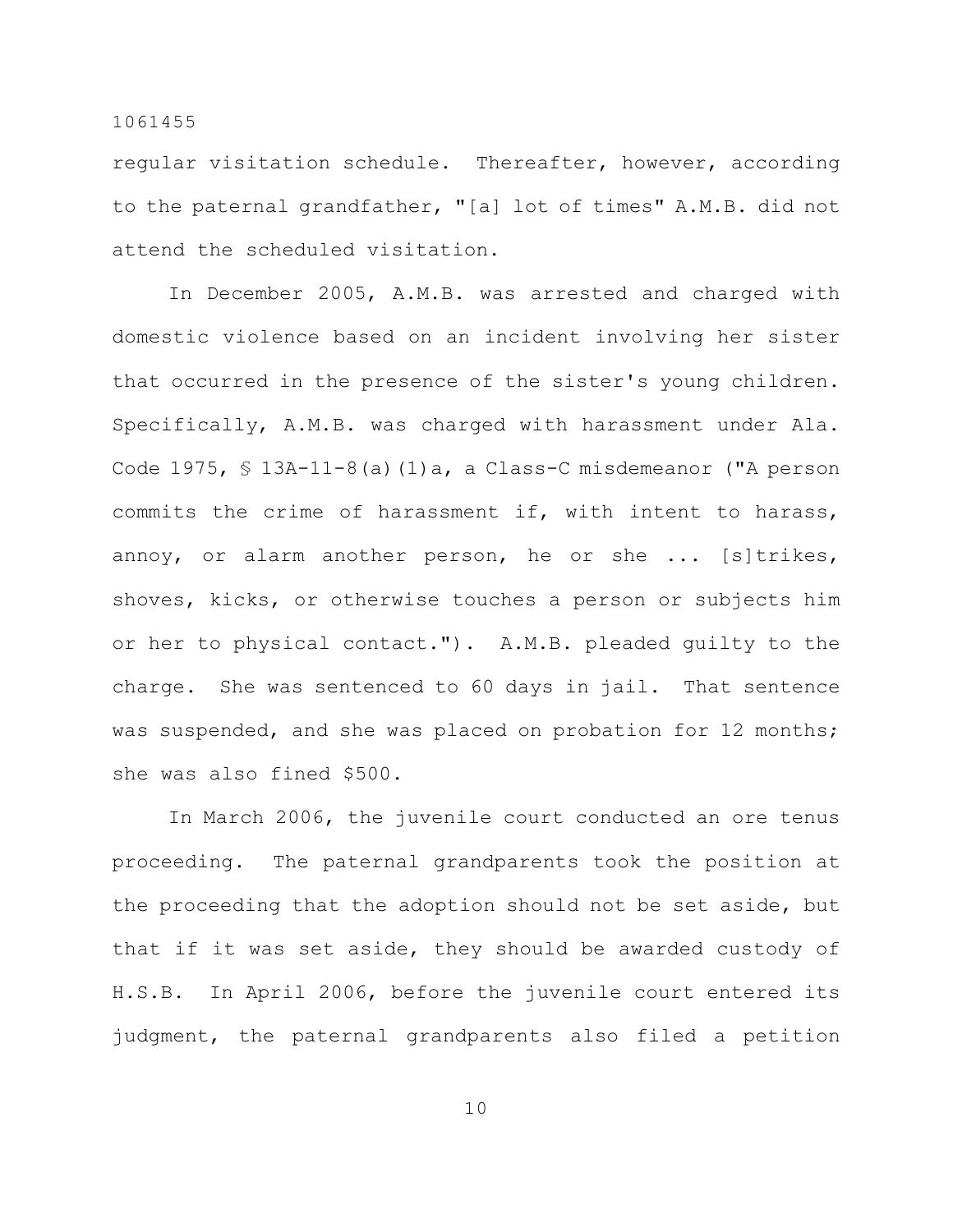regular visitation schedule. Thereafter, however, according to the paternal grandfather, "[a] lot of times" A.M.B. did not attend the scheduled visitation.

In December 2005, A.M.B. was arrested and charged with domestic violence based on an incident involving her sister that occurred in the presence of the sister's young children. Specifically, A.M.B. was charged with harassment under Ala. Code 1975, § 13A-11-8(a)(1)a, a Class-C misdemeanor ("A person commits the crime of harassment if, with intent to harass, annoy, or alarm another person, he or she ... [s]trikes, shoves, kicks, or otherwise touches a person or subjects him or her to physical contact."). A.M.B. pleaded guilty to the charge. She was sentenced to 60 days in jail. That sentence was suspended, and she was placed on probation for 12 months; she was also fined \$500.

In March 2006, the juvenile court conducted an ore tenus proceeding. The paternal grandparents took the position at the proceeding that the adoption should not be set aside, but that if it was set aside, they should be awarded custody of H.S.B. In April 2006, before the juvenile court entered its judgment, the paternal grandparents also filed a petition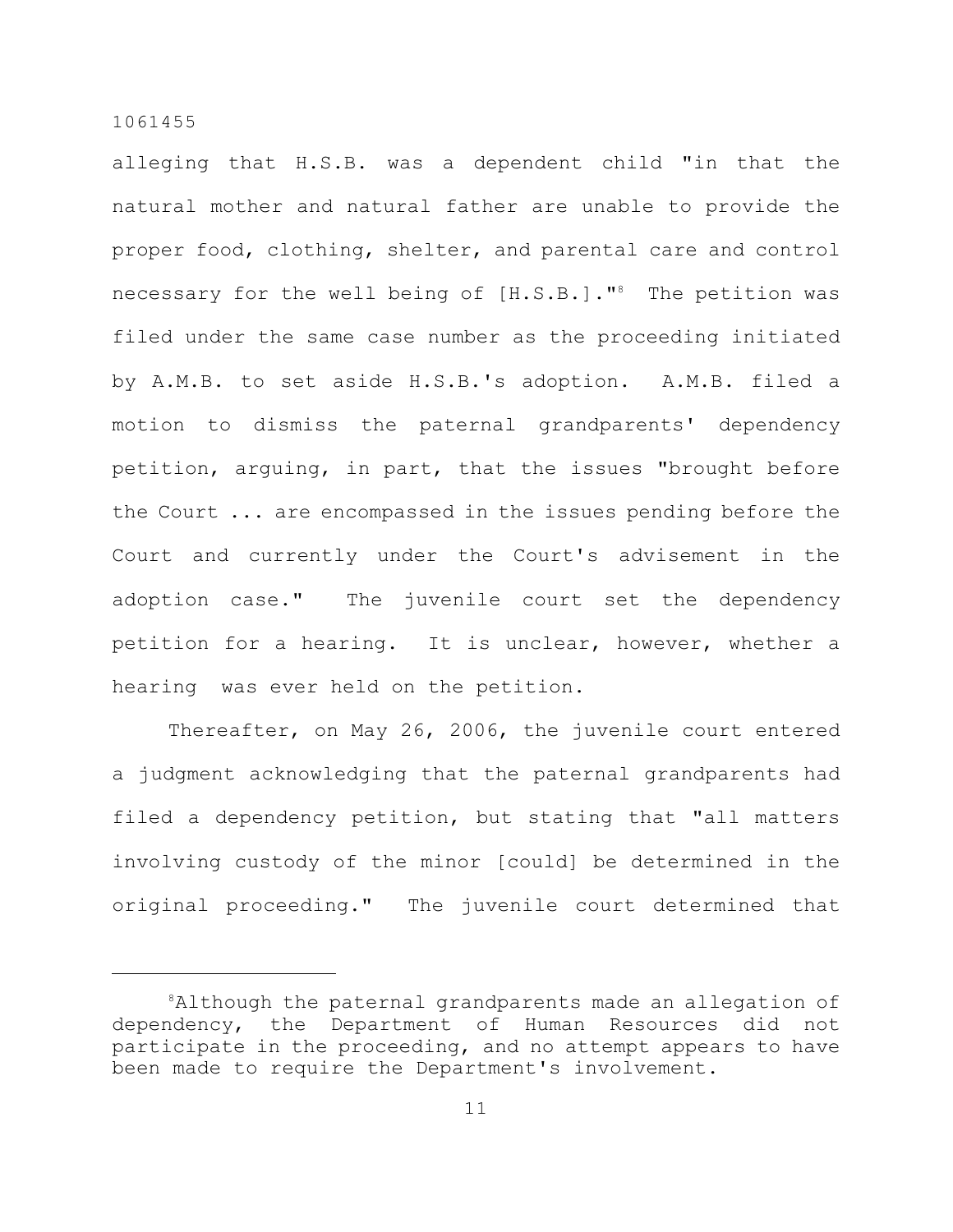alleging that H.S.B. was a dependent child "in that the natural mother and natural father are unable to provide the proper food, clothing, shelter, and parental care and control necessary for the well being of  $[H.S.B.]$ ."<sup>8</sup> The petition was filed under the same case number as the proceeding initiated by A.M.B. to set aside H.S.B.'s adoption. A.M.B. filed a motion to dismiss the paternal grandparents' dependency petition, arguing, in part, that the issues "brought before the Court ... are encompassed in the issues pending before the Court and currently under the Court's advisement in the adoption case." The juvenile court set the dependency petition for a hearing. It is unclear, however, whether a hearing was ever held on the petition.

Thereafter, on May 26, 2006, the juvenile court entered a judgment acknowledging that the paternal grandparents had filed a dependency petition, but stating that "all matters involving custody of the minor [could] be determined in the original proceeding." The juvenile court determined that

<sup>&</sup>lt;sup>8</sup>Although the paternal grandparents made an allegation of dependency, the Department of Human Resources did not participate in the proceeding, and no attempt appears to have been made to require the Department's involvement.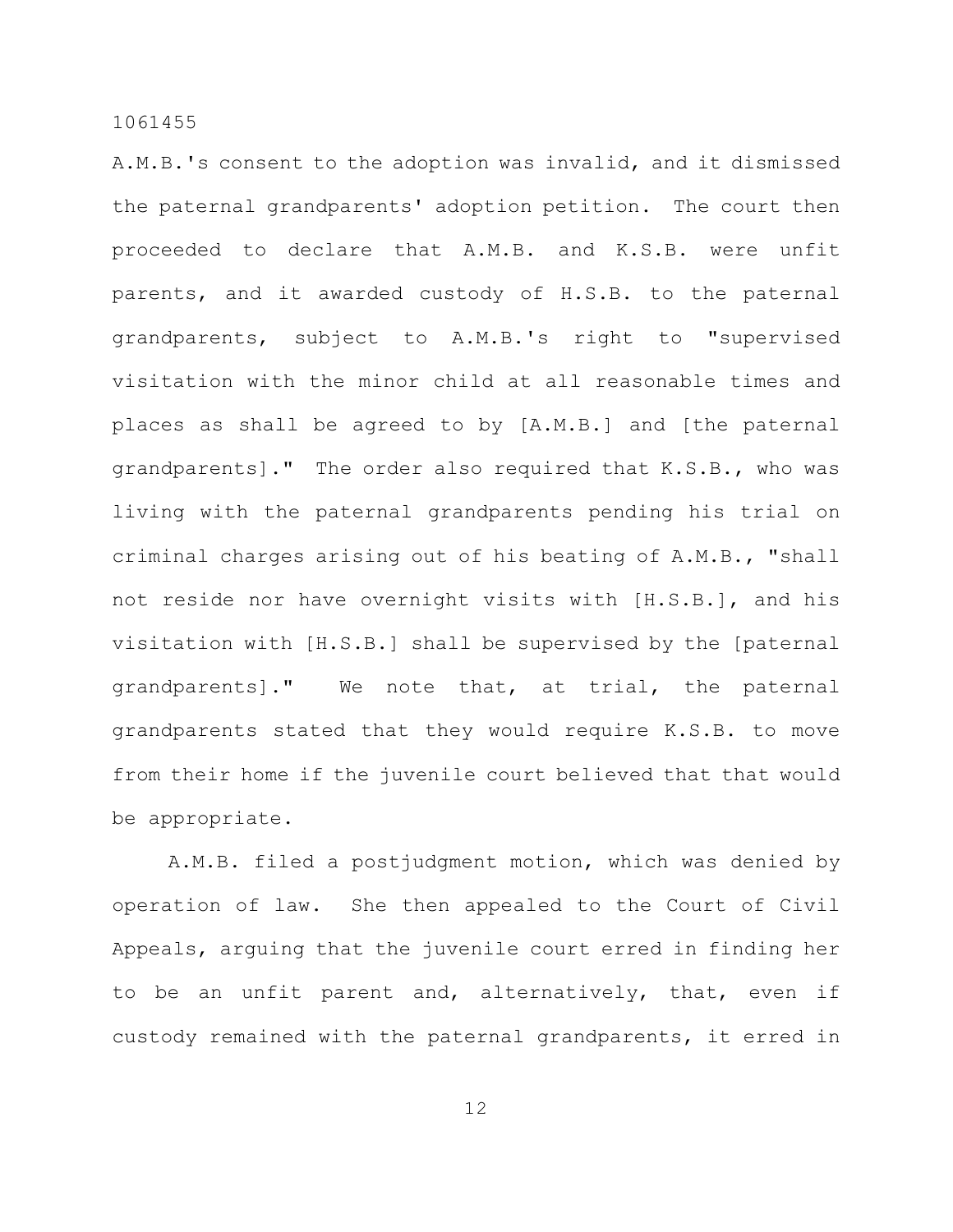A.M.B.'s consent to the adoption was invalid, and it dismissed the paternal grandparents' adoption petition. The court then proceeded to declare that A.M.B. and K.S.B. were unfit parents, and it awarded custody of H.S.B. to the paternal grandparents, subject to A.M.B.'s right to "supervised visitation with the minor child at all reasonable times and places as shall be agreed to by [A.M.B.] and [the paternal grandparents]." The order also required that K.S.B., who was living with the paternal grandparents pending his trial on criminal charges arising out of his beating of A.M.B., "shall not reside nor have overnight visits with [H.S.B.], and his visitation with [H.S.B.] shall be supervised by the [paternal grandparents]." We note that, at trial, the paternal grandparents stated that they would require K.S.B. to move from their home if the juvenile court believed that that would be appropriate.

A.M.B. filed a postjudgment motion, which was denied by operation of law. She then appealed to the Court of Civil Appeals, arguing that the juvenile court erred in finding her to be an unfit parent and, alternatively, that, even if custody remained with the paternal grandparents, it erred in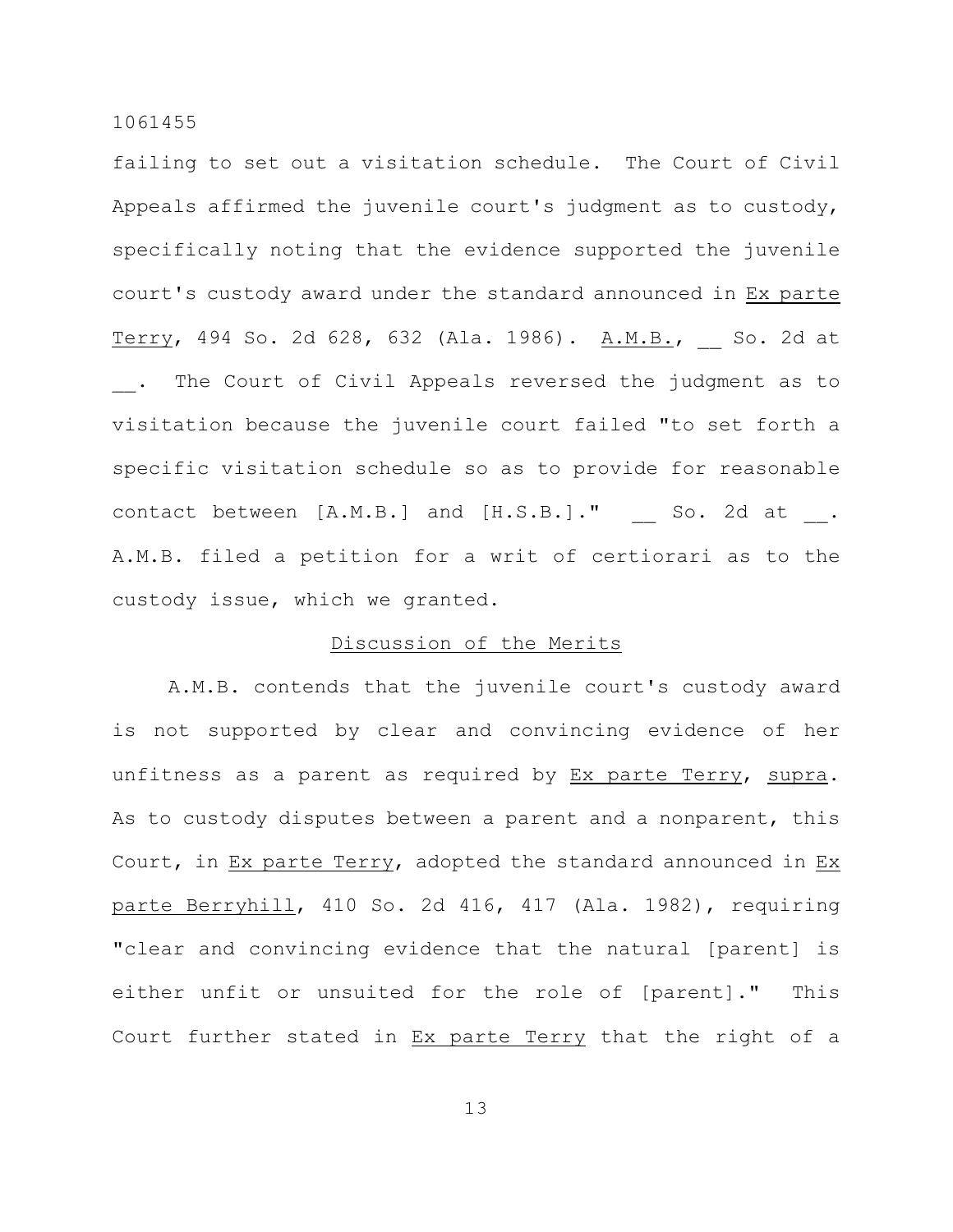failing to set out a visitation schedule. The Court of Civil Appeals affirmed the juvenile court's judgment as to custody, specifically noting that the evidence supported the juvenile court's custody award under the standard announced in Ex parte Terry, 494 So. 2d 628, 632 (Ala. 1986). A.M.B., \_\_ So. 2d at The Court of Civil Appeals reversed the judgment as to visitation because the juvenile court failed "to set forth a specific visitation schedule so as to provide for reasonable contact between [A.M.B.] and [H.S.B.]." So. 2d at . A.M.B. filed a petition for a writ of certiorari as to the custody issue, which we granted.

## Discussion of the Merits

A.M.B. contends that the juvenile court's custody award is not supported by clear and convincing evidence of her unfitness as a parent as required by Ex parte Terry, supra. As to custody disputes between a parent and a nonparent, this Court, in Ex parte Terry, adopted the standard announced in Ex parte Berryhill, 410 So. 2d 416, 417 (Ala. 1982), requiring "clear and convincing evidence that the natural [parent] is either unfit or unsuited for the role of [parent]." This Court further stated in Ex parte Terry that the right of a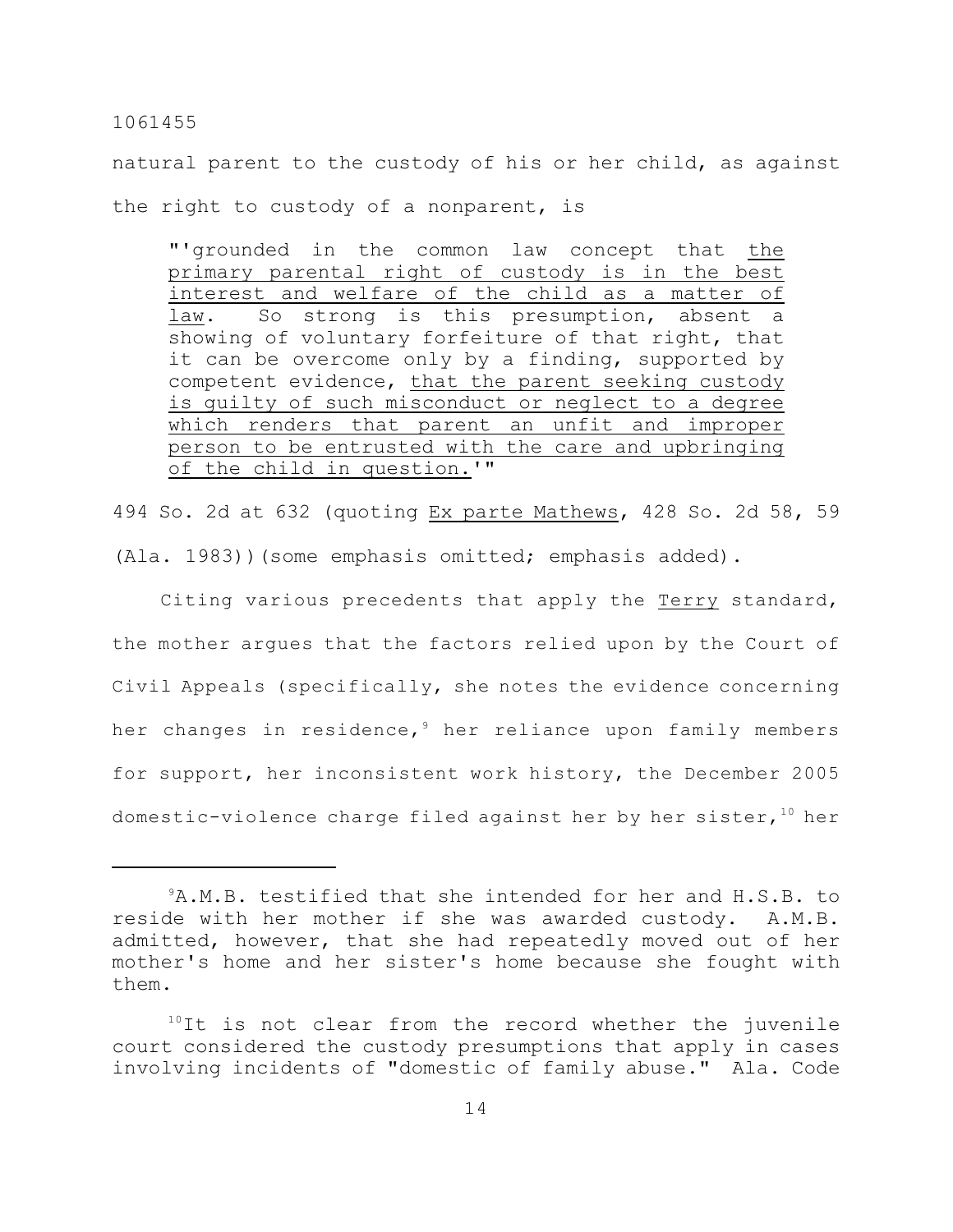natural parent to the custody of his or her child, as against the right to custody of a nonparent, is

"'grounded in the common law concept that the primary parental right of custody is in the best interest and welfare of the child as a matter of law. So strong is this presumption, absent a showing of voluntary forfeiture of that right, that it can be overcome only by a finding, supported by competent evidence, that the parent seeking custody is guilty of such misconduct or neglect to a degree which renders that parent an unfit and improper person to be entrusted with the care and upbringing of the child in question.'"

494 So. 2d at 632 (quoting Ex parte Mathews, 428 So. 2d 58, 59 (Ala. 1983))(some emphasis omitted; emphasis added).

 Citing various precedents that apply the Terry standard, the mother argues that the factors relied upon by the Court of Civil Appeals (specifically, she notes the evidence concerning her changes in residence,  $9$  her reliance upon family members for support, her inconsistent work history, the December 2005 domestic-violence charge filed against her by her sister,  $10^{\circ}$  her

<sup>&</sup>lt;sup>9</sup>A.M.B. testified that she intended for her and H.S.B. to reside with her mother if she was awarded custody. A.M.B. admitted, however, that she had repeatedly moved out of her mother's home and her sister's home because she fought with them.

 $10$ It is not clear from the record whether the juvenile court considered the custody presumptions that apply in cases involving incidents of "domestic of family abuse." Ala. Code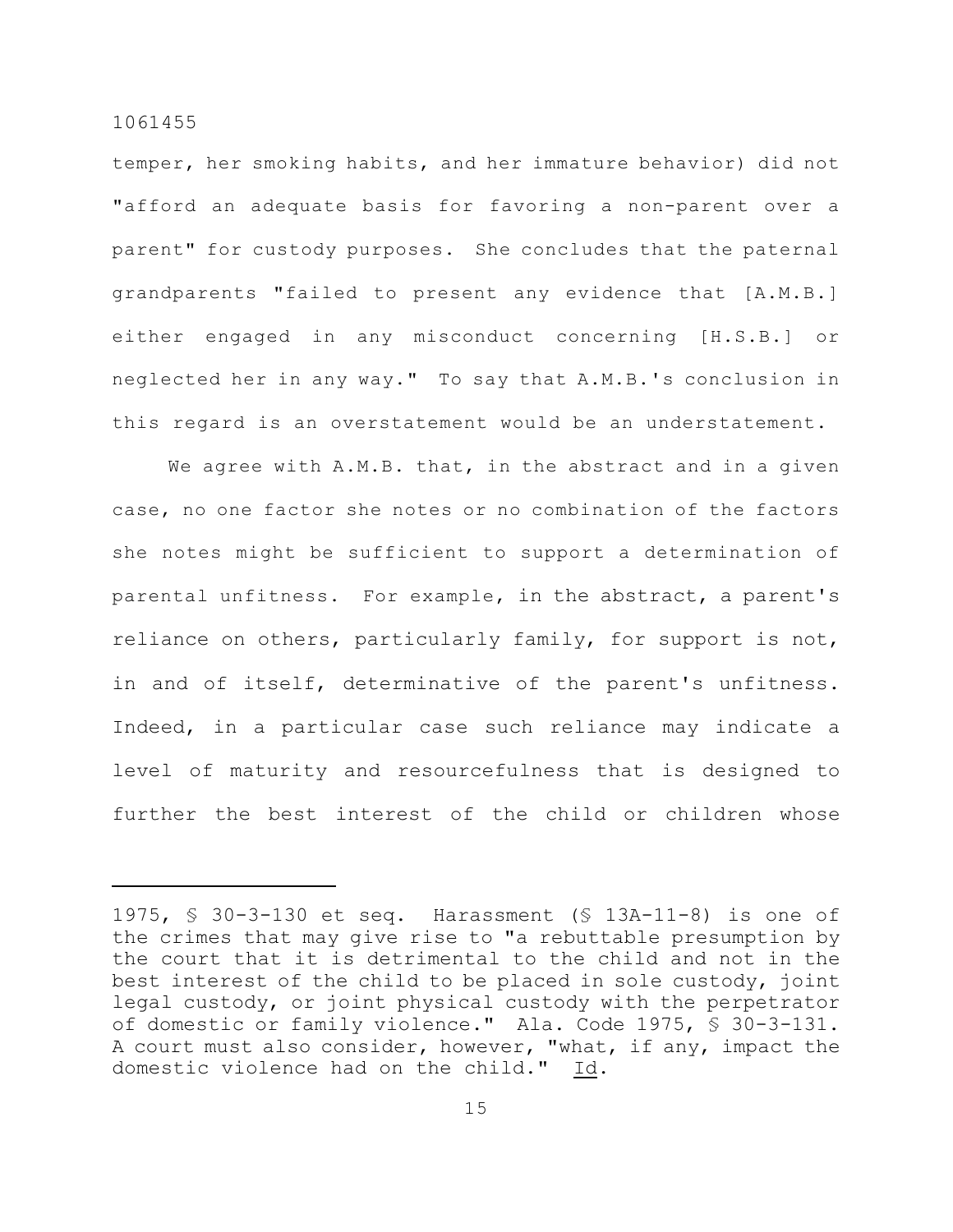temper, her smoking habits, and her immature behavior) did not "afford an adequate basis for favoring a non-parent over a parent" for custody purposes. She concludes that the paternal grandparents "failed to present any evidence that [A.M.B.] either engaged in any misconduct concerning [H.S.B.] or neglected her in any way." To say that A.M.B.'s conclusion in this regard is an overstatement would be an understatement.

We agree with A.M.B. that, in the abstract and in a given case, no one factor she notes or no combination of the factors she notes might be sufficient to support a determination of parental unfitness. For example, in the abstract, a parent's reliance on others, particularly family, for support is not, in and of itself, determinative of the parent's unfitness. Indeed, in a particular case such reliance may indicate a level of maturity and resourcefulness that is designed to further the best interest of the child or children whose

<sup>1975,</sup> § 30-3-130 et seq. Harassment (§ 13A-11-8) is one of the crimes that may give rise to "a rebuttable presumption by the court that it is detrimental to the child and not in the best interest of the child to be placed in sole custody, joint legal custody, or joint physical custody with the perpetrator of domestic or family violence." Ala. Code 1975, § 30-3-131. A court must also consider, however, "what, if any, impact the domestic violence had on the child." Id.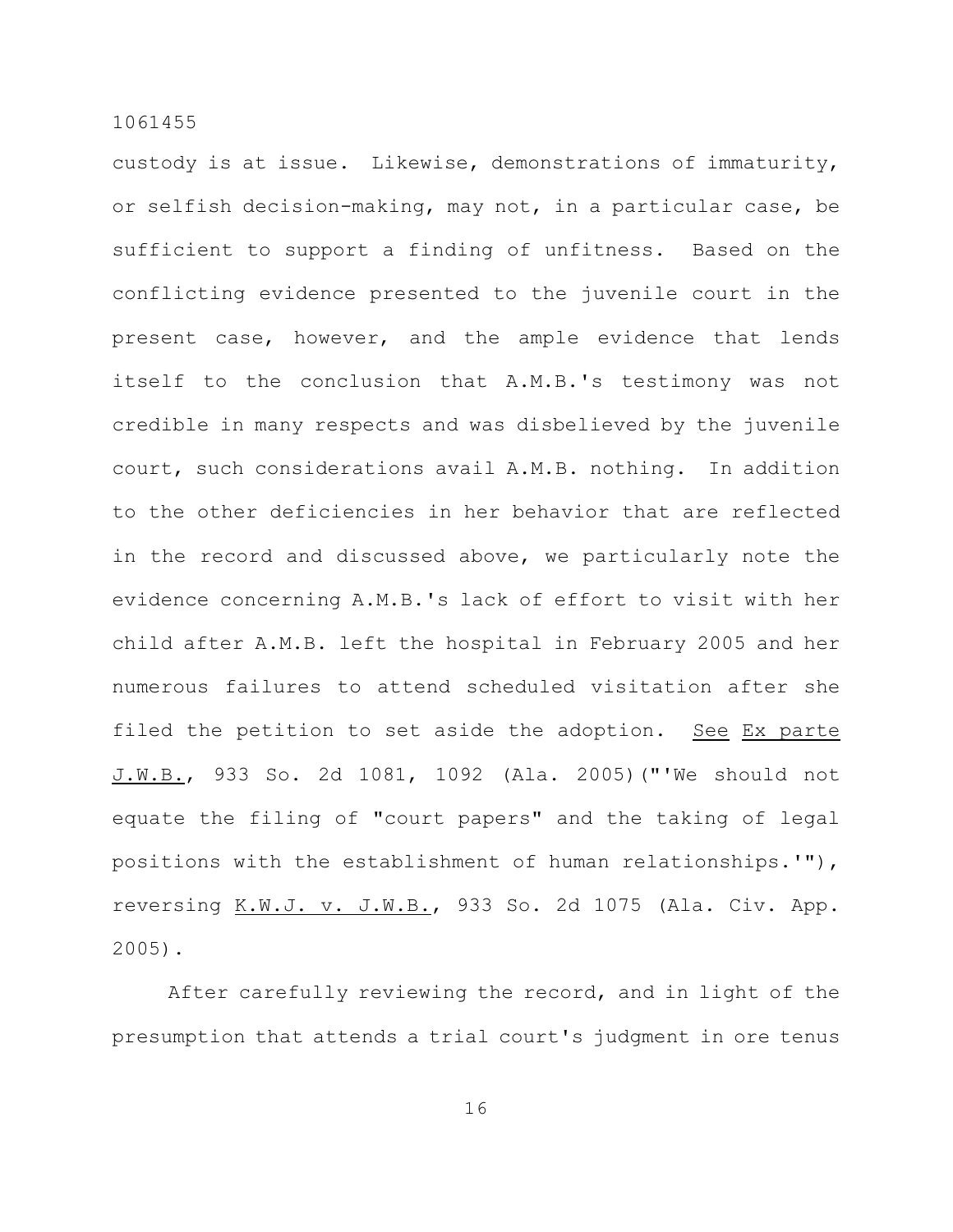custody is at issue. Likewise, demonstrations of immaturity, or selfish decision-making, may not, in a particular case, be sufficient to support a finding of unfitness. Based on the conflicting evidence presented to the juvenile court in the present case, however, and the ample evidence that lends itself to the conclusion that A.M.B.'s testimony was not credible in many respects and was disbelieved by the juvenile court, such considerations avail A.M.B. nothing. In addition to the other deficiencies in her behavior that are reflected in the record and discussed above, we particularly note the evidence concerning A.M.B.'s lack of effort to visit with her child after A.M.B. left the hospital in February 2005 and her numerous failures to attend scheduled visitation after she filed the petition to set aside the adoption. See Ex parte J.W.B., 933 So. 2d 1081, 1092 (Ala. 2005)("'We should not equate the filing of "court papers" and the taking of legal positions with the establishment of human relationships.'"), reversing K.W.J. v. J.W.B., 933 So. 2d 1075 (Ala. Civ. App. 2005).

After carefully reviewing the record, and in light of the presumption that attends a trial court's judgment in ore tenus